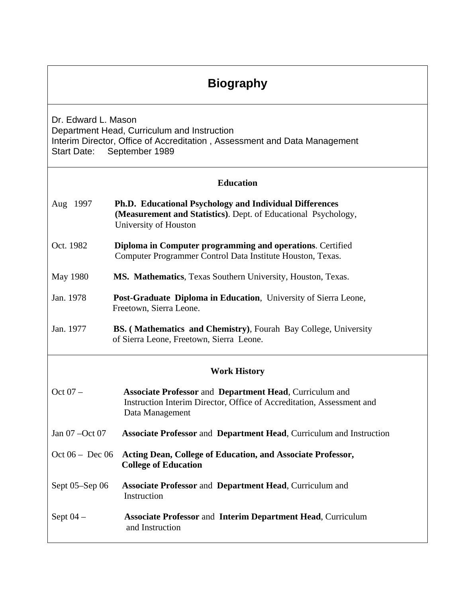# **Biography**

Dr. Edward L. Mason Department Head, Curriculum and Instruction Interim Director, Office of Accreditation , Assessment and Data Management Start Date: September 1989

#### **Education**

- Aug 1997 **Ph.D. Educational Psychology and Individual Differences (Measurement and Statistics)**. Dept. of Educational Psychology, University of Houston
- Oct. 1982 **Diploma in Computer programming and operations**. Certified Computer Programmer Control Data Institute Houston, Texas.
- May 1980 **MS. Mathematics**, Texas Southern University, Houston, Texas.
- Jan. 1978 **Post-Graduate Diploma in Education**, University of Sierra Leone, Freetown, Sierra Leone.
- Jan. 1977 **BS. ( Mathematics and Chemistry)**, Fourah Bay College, University of Sierra Leone, Freetown, Sierra Leone.

#### **Work History**

- Oct 07 **Associate Professor** and **Department Head**, Curriculum and Instruction Interim Director, Office of Accreditation, Assessment and Data Management Jan 07 –Oct 07 **Associate Professor** and **Department Head**, Curriculum and Instruction
- Oct 06 Dec 06 **Acting Dean, College of Education, and Associate Professor, College of Education**
- Sept 05–Sep 06 **Associate Professor** and **Department Head**, Curriculum and **Instruction**
- Sept 04 **Associate Professor** and **Interim Department Head**, Curriculum and Instruction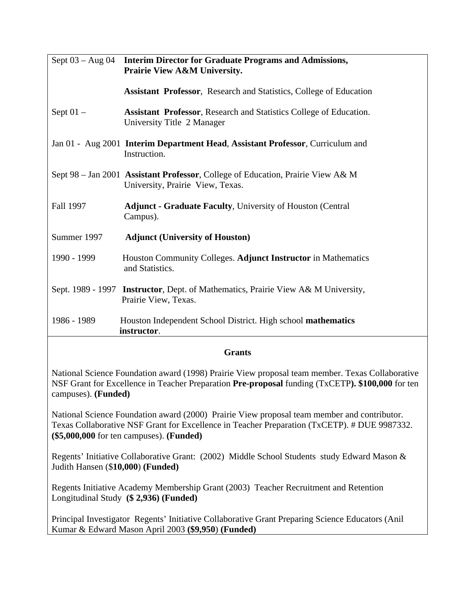| Sept $03 - Aug 04$ | <b>Interim Director for Graduate Programs and Admissions,</b><br>Prairie View A&M University.                       |
|--------------------|---------------------------------------------------------------------------------------------------------------------|
|                    | <b>Assistant Professor, Research and Statistics, College of Education</b>                                           |
| Sept $01 -$        | <b>Assistant Professor, Research and Statistics College of Education.</b><br>University Title 2 Manager             |
|                    | Jan 01 - Aug 2001 Interim Department Head, Assistant Professor, Curriculum and<br>Instruction.                      |
|                    | Sept 98 - Jan 2001 Assistant Professor, College of Education, Prairie View A& M<br>University, Prairie View, Texas. |
| Fall 1997          | <b>Adjunct - Graduate Faculty, University of Houston (Central)</b><br>Campus).                                      |
| Summer 1997        | <b>Adjunct (University of Houston)</b>                                                                              |
| 1990 - 1999        | Houston Community Colleges. Adjunct Instructor in Mathematics<br>and Statistics.                                    |
|                    | Sept. 1989 - 1997 Instructor, Dept. of Mathematics, Prairie View A& M University,<br>Prairie View, Texas.           |
| 1986 - 1989        | Houston Independent School District. High school mathematics<br>instructor.                                         |

#### **Grants**

National Science Foundation award (1998) Prairie View proposal team member. Texas Collaborative NSF Grant for Excellence in Teacher Preparation **Pre-proposal** funding (TxCETP**). \$100,000** for ten campuses). **(Funded)** 

National Science Foundation award (2000) Prairie View proposal team member and contributor. Texas Collaborative NSF Grant for Excellence in Teacher Preparation (TxCETP). # DUE 9987332. **(\$5,000,000** for ten campuses). **(Funded)** 

Regents' Initiative Collaborative Grant: (2002) Middle School Students study Edward Mason & Judith Hansen (\$**10,000**) **(Funded)**

Regents Initiative Academy Membership Grant (2003) Teacher Recruitment and Retention Longitudinal Study **(\$ 2,936) (Funded)** 

Principal Investigator Regents' Initiative Collaborative Grant Preparing Science Educators (Anil Kumar & Edward Mason April 2003 **(\$9,950**) **(Funded)**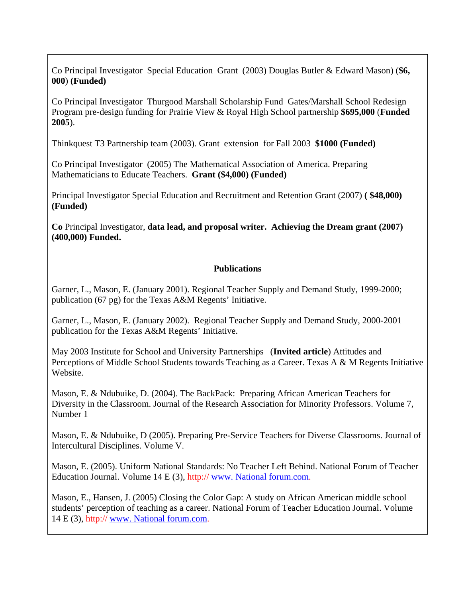Co Principal Investigator Special Education Grant (2003) Douglas Butler & Edward Mason) (**\$6, 000**) **(Funded)**

Co Principal Investigator Thurgood Marshall Scholarship Fund Gates/Marshall School Redesign Program pre-design funding for Prairie View & Royal High School partnership **\$695,000** (**Funded 2005**).

Thinkquest T3 Partnership team (2003). Grant extension for Fall 2003 **\$1000 (Funded)**

Co Principal Investigator (2005) The Mathematical Association of America. Preparing Mathematicians to Educate Teachers. **Grant (\$4,000) (Funded)** 

Principal Investigator Special Education and Recruitment and Retention Grant (2007) **( \$48,000) (Funded)** 

**Co** Principal Investigator, **data lead, and proposal writer. Achieving the Dream grant (2007) (400,000) Funded.** 

#### **Publications**

Garner, L., Mason, E. (January 2001). Regional Teacher Supply and Demand Study, 1999-2000; publication (67 pg) for the Texas A&M Regents' Initiative.

Garner, L., Mason, E. (January 2002). Regional Teacher Supply and Demand Study, 2000-2001 publication for the Texas A&M Regents' Initiative.

May 2003 Institute for School and University Partnerships (**Invited article**) Attitudes and Perceptions of Middle School Students towards Teaching as a Career. Texas A & M Regents Initiative Website.

Mason, E. & Ndubuike, D. (2004). The BackPack: Preparing African American Teachers for Diversity in the Classroom. Journal of the Research Association for Minority Professors. Volume 7, Number 1

Mason, E. & Ndubuike, D (2005). Preparing Pre-Service Teachers for Diverse Classrooms. Journal of Intercultural Disciplines. Volume V.

Mason, E. (2005). Uniform National Standards: No Teacher Left Behind. National Forum of Teacher Education Journal. Volume 14 E (3), http:// [www. National forum.com](http://www.sbec.state.tx.us.org/).

Mason, E., Hansen, J. (2005) Closing the Color Gap: A study on African American middle school students' perception of teaching as a career. National Forum of Teacher Education Journal. Volume 14 E (3), http:// [www. National forum.com.](http://www.sbec.state.tx.us.org/)